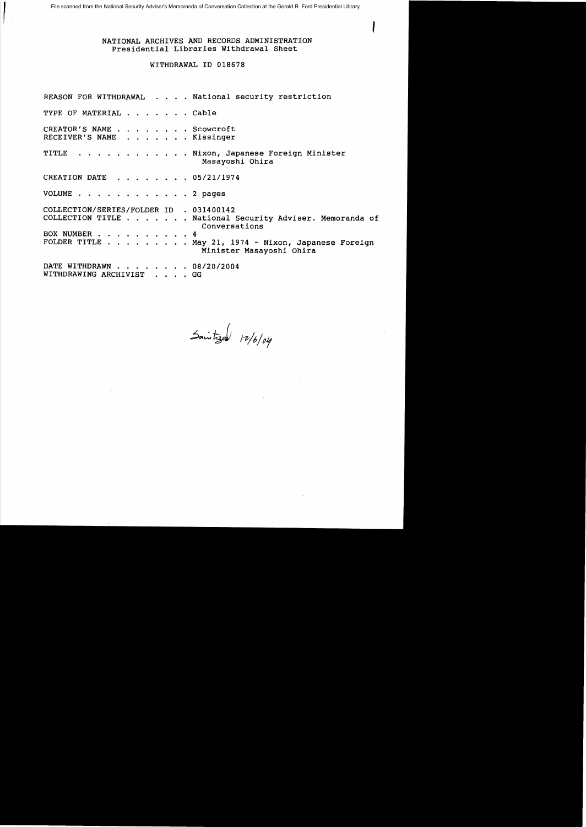File scanned from the National Security Adviser's Memoranda of Conversation Collection at the Gerald R. Ford Presidential Library

 $\int_0^{\frac{1}{2}}$ 

## NATIONAL ARCHIVES AND RECORDS ADMINISTRATION Presidential Libraries Withdrawal Sheet

## WITHDRAWAL ID 018678

REASON FOR WITHDRAWAL . . . . National security restriction TYPE OF MATERIAL . . . . . . Cable CREATOR'S NAME . . . . . . . Scowcroft<br>RECEIVER'S NAME . . . . . . Kissinger . . . . . . . Kissinger TITLE . . . . . . . . . . . Nixon, Japanese Foreign Minister Masayoshi Ohira CREATION DATE  $\ldots$   $\ldots$   $\ldots$  05/21/1974 VOLUME . . . . . . . . . . . . 2 pages COLLECTION/SERIES/FOLDER ID . 031400142 COLLECTION TITLE . . . . . . National Security Adviser. Memoranda of Conversations BOX NUMBER . . . . . . . . . . 4<br>FOLDER TITLE . . . . . . . . . M  $\cdots$  . . . . . . May 21, 1974 - Nixon, Japanese Foreign Minister Masayoshi Ohira DATE WITHDRAWN . . . . . . . 08/20/2004 WITHDRAWING ARCHIVIST . GG

Saintized 12/6/04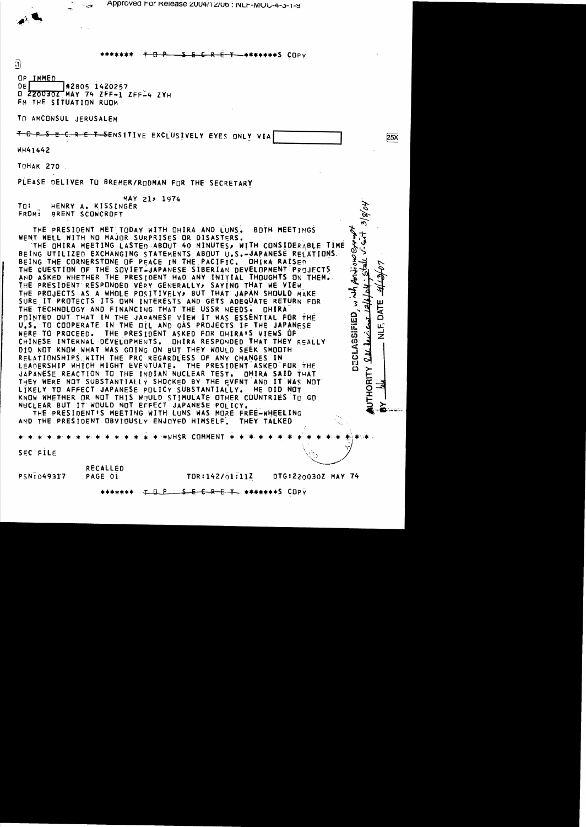Approved For Release 2004/12/06: NLF-MOG-4-3-1-9

5 E C R E T -\*\*\*\*\*\*\*\$ COPV

0

OP IMMED  $DE$ #2805 1420257 0 220030Z MAY 74 ZFF-1 ZFF-4 ZYH FM THE SITUATION ROOM

TO AMCONSUL JERUSALEM

TO PSECRET SENSITIVE EXCLUSIVELY EYES ONLY VIA

**WH41442** 

TOHAK 270

PLEASE DELIVER TO BREMER/RODMAN FOR THE SECRETARY

MAY 21, 1974  $Tn$ : HENRY A. KISSINGER FROM: BRENT SCOWCROFT

THE PRESIDENT MET TODAY WITH OHIRA AND LUNS. **BOTH MEETINGS** WENT WELL WITH NO MAJOR SURPRISES OR DISASTERS.

THE OHIRA MEETING LASTED ABOUT 40 MINUTES, WITH CONSIDERABLE TIME BEING UTILIZED EXCHANGING STATEMENTS ABOUT U.S.-JAPANESE RELATIONS. BEING THE CORNERSTONE OF PEACE IN THE PACIFIC. OHIRA RAISED THE QUESTION OF THE SOVIET-JAPANESE SIBERIAN DEVELOPMENT PROJECTS AND ASKED WHETHER THE PRESIDENT HAD ANY INITIAL THOUGHTS ON THEM. THE PRESIDENT RESPONDED VERY GENERALLY, SAYING THAT WE VIEW THE PROJECTS AS A WHOLE POSITIVELY, BUT THAT JAPAN SHOULD MAKE SURE IT PROTECTS ITS OWN INTERESTS AND GETS ADEQUATE RETURN FOR THE TECHNOLOGY AND FINANCING THAT THE USSR NEEDS. DHIRA POINTED OUT THAT IN THE JAPANESE VIEW IT WAS ESSENTIAL FOR THE U.S. TO COOPERATE IN THE OIL AND GAS PROJECTS IF THE JAPANESE THE PRESIDENT ASKED FOR OHIRA'S VIEWS OF WERE TO PROCEED. CHINESE INTERNAL DEVELOPMENTS. DHIRA RESPONDED THAT THEY REALLY DID NOT KNOW WHAT WAS GOING ON BUT THEY WOULD SEEK SMOOTH RELATIONSHIPS WITH THE PRC REGARDLESS OF ANY CHANGES IN LEADERSHIP WHICH MIGHT EVENTUATE. THE PRESIDENT ASKED FOR THE JAPANESE REACTION TO THE INDIAN NUCLEAR TEST. **OHIRA SAID THAT** THEY WERE NOT SUBSTANTIALLY SHOCKED BY THE EVENT AND IT WAS NOT LIKELY TO AFFECT JAPANESE POLICY SUBSTANTIALLY. HE DID NOT KNOW WHETHER OR NOT THIS WOULD STIMULATE OTHER COUNTRIES TO GO NUCLEAR BUT IT WOULD NOT EFFECT JAPANESE POLICY.

THE PRESIDENT'S MEETING WITH LUNS WAS MORE FREE-WHEELING AND THE PRESIDENT OBVIOUSLY ENJOYED HIMSELF. THEY TALKED

\*\*WHSR COMMENT \*.\*

SEC FILE

RECALLED PSN: 049317 PAGE 01

TOR:142/01:11Z DTG:220030Z MAY 74 **25X** 

 $v \cdot 2/8/1$ 

Bordions

 $\frac{1}{2}$ 

DECLASSIFIED

 $24$ 

HORITY

БÄТ

ت<br>W

 $F$  Q  $P$   $S$   $E$   $C$   $R$   $E$   $T$   $*$   $*$   $*$   $*$   $*$   $*$   $S$   $CDP$   $Y$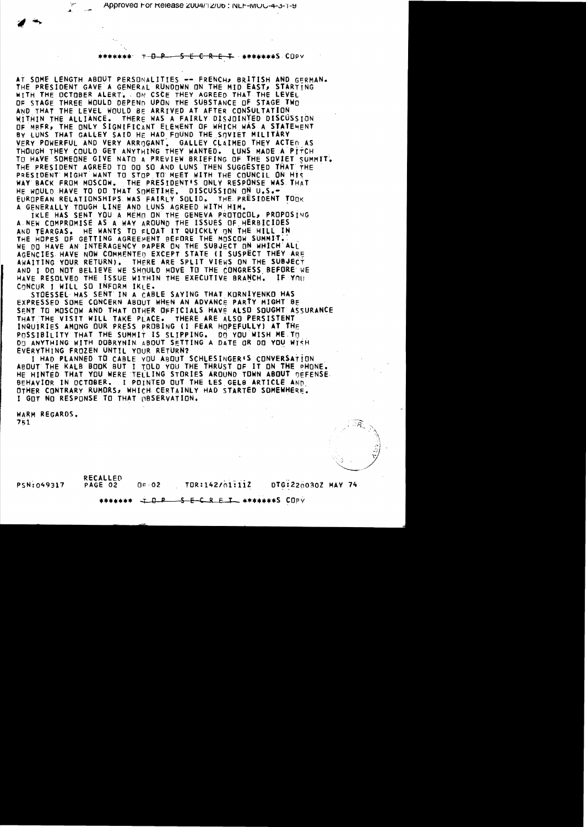T D P 5 E C R E T \*\*\*\*\*\*\*S CUPV

AT SOME LENGTH ABOUT PERSONALITIES -- FRENCH, BRITISH AND GERMAN. THE PRESIDENT GAVE A GENERAL RUNDOWN ON THE MID EAST, STARTTNG WITH THE OCTOBER ALERT. ON CSCE THEY AGREED THAT THE LEVEL OF STAGE THREE WOULD DEPEND UPON THE SUBSTANCE OF STAGE TWO AND THAT THE LEVEL WOULD BE ARRIVED AT AFTER CONSULTATION WITHIN THE ALLIANCE. THERE WAS A FAIRLY DISJOINTED DISCUSSION OF MRER, THE ONLY SIGNIFICANT ELEMENT OF WHICH WAS A STATEMENT BY LUNS THAT GALLEY SAID HE HAD FOUND THE SOVIET MILITARY VERY POWERFUL AND VERY ARRIGANT. GALLEY CLAIMED THEY ACTED AS THOUGH THEY COULD GET ANYTHING THEY WANTED. LUNS MADE A PITCH TO HAVE SOMEONE GIVE NATO A PREVIEW BRIEFING OF THE SOVIET SUMMIT. THE PRESIDENT AGREED TO DO SO AND LUNS THEN SUGGESTED THAT THE PRESIDENT MIGHT WANT TO STOP TO MEET WITH THE COUNCIL ON HIS WAY BACK FROM MOSCOW. THE PRESIDENT'S ONLY RESPONSE WAS THAT HE WOULD HAVE TO DO THAT SOMETIME. DISCUSSION ON U.S.-EUROPEAN RELATIONSHIPS WAS FAIRLY SOLID. THE PRESIDENT TOOK A GENERALLY TOUGH LINE AND LUNS AGREED WITH HIM.

IKLE HAS SENT YOU A MEMO ON THE GENEVA PROTOCOL, PROPOSING A NEW COMPROMISE AS A WAY AROUND THE ISSUES OF HERBICIDES HE WANTS TO FLOAT IT QUICKLY ON THE HILL IN AND TEARGAS. THE HOPES OF GETTING AGREEMENT BEFORE THE MOSCOW SUMMIT. WE DO HAVE AN INTERAGENCY PAPER ON THE SUBJECT ON WHICH ALL AGENCIES HAVE NOW COMMENTED EXCEPT STATE (I SUSPECT THEY ARE AWAITING YOUR RETURN). THERE ARE SPLIT VIEWS ON THE SUBJECT AND I DO NOT BELIEVE WE SHOULD MOVE TO THE CONGRESS BEFORE WE HAVE RESOLVED THE ISSUE WITHIN THE EXECUTIVE BRANCH. IF YOU CONCUR I WILL SO INFORM IKLE.

STOESSEL HAS SENT IN A CABLE SAYING THAT KORNIYENKO HAS EXPRESSED SOME CONCERN ABOUT WHEN AN ADVANCE PARTY MIGHT BE SENT TO MOSCOW AND THAT OTHER OFFICIALS HAVE ALSO SOUGHT ASSURANCE THAT THE VISIT WILL TAKE PLACE. THERE ARE ALSO PERSISTENT INQUIRIES AMONG OUR PRESS PROBING (I FEAR HOPEFULLY) AT THE POSSIBILITY THAT THE SUMMIT IS SLIPPING. DO YOU WISH ME TO DO ANYTHING WITH DOBRYNIN ABOUT SETTING A DATE OR DO YOU WISH EVERYTHING FROZEN UNTIL YOUR RETURN?

I HAD PLANNED TO CABLE YOU ABOUT SCHLESINGER'S CONVERSATION ABOUT THE KALB BOOK BUT I TOLD YOU THE THRUST OF IT ON THE PHONE. HE HINTED THAT YOU WERE TELLING STORIES AROUND TOWN ABOUT DEFENSE. BEHAVIOR IN OCTOBER. I POINTED OUT THE LES GELB ARTICLE AND OTHER CONTRARY RUMORS, WHICH CERTAINLY HAD STARTED SOMEWHERE. I GOT NO RESPONSE TO THAT GBSERVATION.

WARM REGARDS. 751

**RECALLED** PSN:049317

PAGE 02  $0 - 02$ 

DTG:220030Z MAY 74 TOR:142/01:11Z

I Q P S E C R E I \*\*\*\*\*\*\*S COPY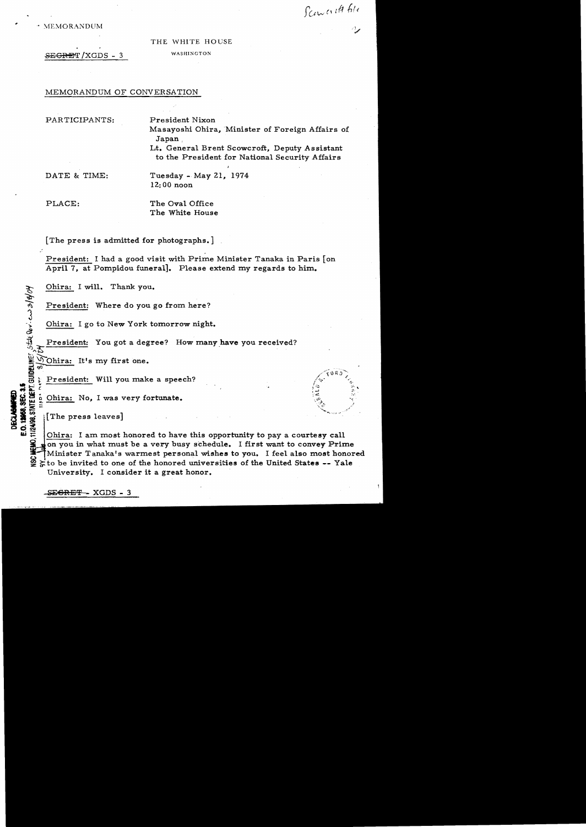$MEMORANDUM$ 

## THE WHITE HOUSE

SEGRET / XGDS - 3 WASHINGTON

MEMORANDUM OF CONVERSATION

PARTICIPANTS: President Nixon

Masayoshi Ohira, Minister of Foreign Affairs of Japan,

Lt. General Brent Scowcroft, Deputy Assistant to the President for National Security Affairs

DATE & TIME: Tuesday - May 21, 1974 12:00 noon

PLACE: The Oval Office

The White House

[The press is admitted for photographs.]

President: I had a good visit with Prime Minister Tanaka in Paris [on April 7, at Pompidou funeral]. Please extend my regards to him.

Ohira: I will. Thank you.

President: Where do you go from here?

Ohira: Igo to New York tomorrow night.

President: You got a degree? How many have you received?

 $\sum_{i=1}^{\infty}$  $\bigcirc$  Ohira: It's my first one.

President: Will you make a speech? ..*.t* ..,..: *\_\_* t:.'

Ohira: No, I was very fortunate.

 $\lvert$  The press leaves]

\*~

운 .<br>이

DECLABANNED<br>E.O. 12058, SEC. 3.5

Ohira: I am most honored to have this opportunity to pay a courtesy call on you in what must be a very busy schedule. I first want to convey Prime Minister Tanaka's warmest personal wishes to you. I feel also most honored  $\geq$  to be invited to one of the honored universities of the United States -- Yale University. I consider it a great honor.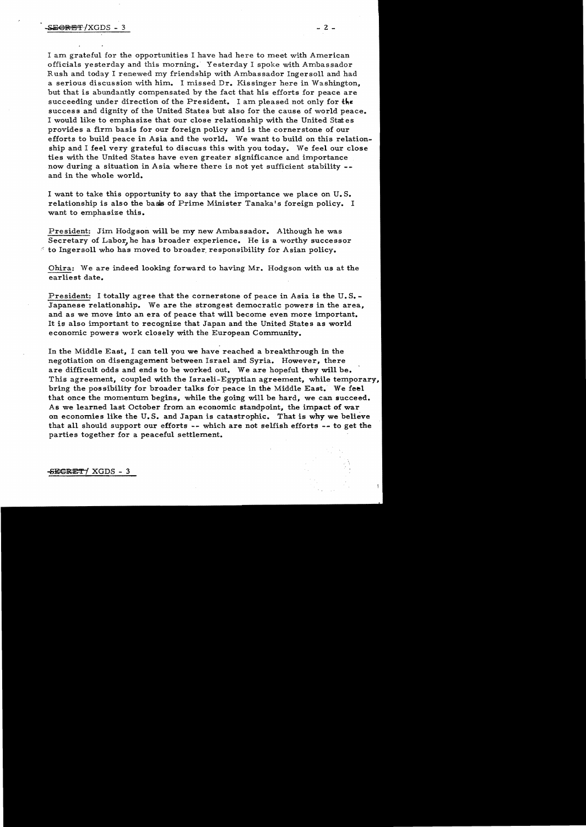I am grateful for the opportunities I have had here to meet with American officials yesterday and this morning. Yesterday I spoke with Ambassador Rush and today I renewed my friendship with Ambassador Ingersoll and had a serious discussion with him. I missed Dr. Kissinger here in Washington, but that is abundantly compensated by the fact that his efforts for peace are succeeding under direction of the President. I am pleased not only for the success and dignity of the United States but also for the cause of world peace. I would like to emphasize that our close relationship with the United Stat es provides a firm basis for our foreign policy and is the cornerstone of our efforts to build peace in Asia and the world. We want to build on this relationship and I feel very grateful to discuss this with you today. We feel our close ties with the United States have even greater significance and importance now during a situation in Asia where there is not yet sufficient stability -and in the whole world.

I want to take this opportunity to say that the importance we place on U. S. relationship is also the basis of Prime Minister Tanaka's foreign policy. I want to emphasize this.

President: Jim Hodgson will be my new Ambassador. Although he was Secretary of Labor, he has broader experience. He is a worthy successor  $\leq$  to Ingersoll who has moved to broader responsibility for Asian policy.

Ohira: We are indeed looking forward to having Mr. Hodgson with us at the earliest date.

President: I totally agree that the cornerstone of peace in Asia is the U. S. Japanese relationship. We are the strongest democratic powers in the area, and as we move into an era of peace that will become even more important. It is also important to recognize that Japan and the United States as world economic powers work closely with the European Community.

In the Middle East, I can tell you we have reached a breakthrough in the negotiation on disengagement between Israel and Syria. However, there are difficult odds and ends to be worked out. We are hopeful they will be. This agreement, coupled with the Israeli-Egyptian agreement, while temporary, bring the possibility for broader talks for peace in the Middle East. We feel that once the momentum begins, while the going will be hard, we can succeed. As we learned last October from an economic standpoint, the impact of war on economies like the U. S. and Japan is catastrophic. That is why we believe that all should support our efforts -- which are not selfish efforts -- to get the parties together for a peaceful settlement.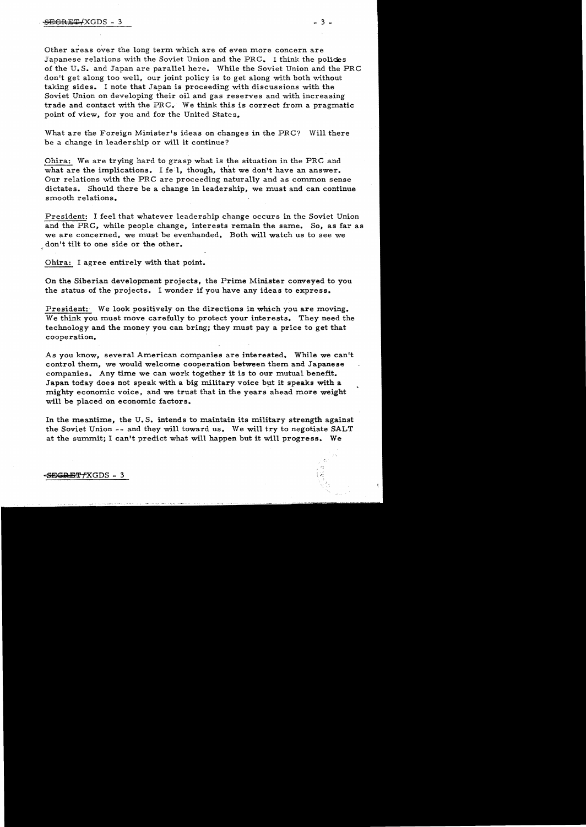Other areas over the long term which are of even more concern are Japanese relations with the Soviet Union and the PRC. I think the policies of the U.S. and Japan are parallel here. While the Soviet Union and the PRC don't get along too well, our joint policy is to get along with both without taking sides.. I note that Japan is proceeding with discussions with the Soviet Union on developing their oil and gas reserves and with increasing trade and contact with the PRC. We think this is correct from a pragmatic point of view, for you and for the United States.

- 3

What are the Foreign Minister's ideas on changes in the PRC? Will there be a change in leadership or will it continue?

Ohira: We are trying hard to grasp what is the situation in the PRC and what are the implications. I fell, though, that we don't have an answer. Our relations with the PRC are proceeding naturally and as common sense dictates. Should there be a change in leadership, we must and can continue smooth relations.

President: I feel that whatever leadership change occurs in the Soviet Union and the PRC, while people change, interests remain the same. So, as far as we are concerned, we must be evenhanded. Both will watch us to see we don't tilt to one side or the other.

Ohira: I agree entirely with that point.

On the Siberian development projects, the Prime Minister conveyed to you the status of the projects. I wonder if you have any ideas to express.

President: We look positively on the directions in which you are moving. We think you must move carefully to protect your interests. They need the technology and the money you can bring; they must pay a price to get that cooperation.

As you know, several American companies are interested. While we can't control them, we would welcome cooperation between them and Japanese companies. Any time we can work together it is to our mutual benefit. Japan today does not speak with a big military voice but it speaks with a mighty economic voice, and we trust that in the years ahead more weight will be placed on economic factors.

In the meantime, the U.S. intends to maintain its military strength against the Soviet Union -- and they will toward us. We will try to negotiate SALT at the summit; I can't predict what will happen but it will progress. We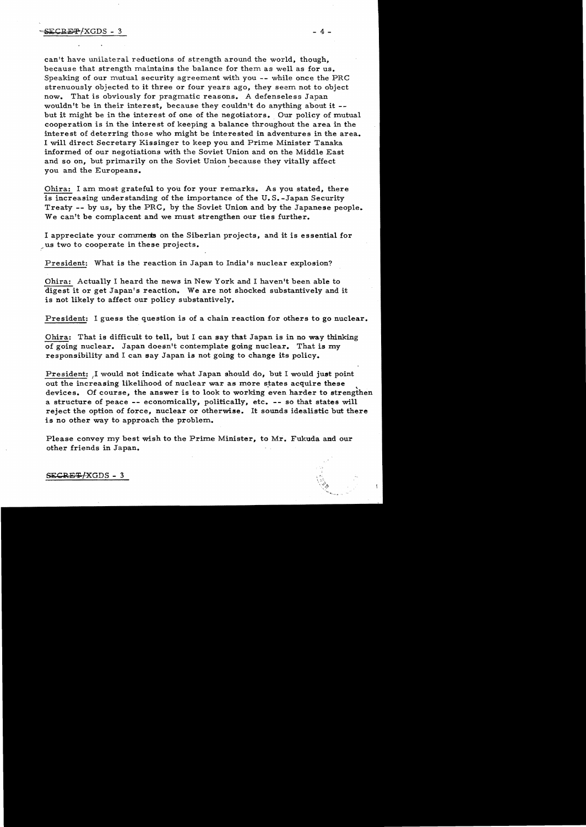can't have unilateral reductions of strength around the world, though, because that strength maintains the balance for them as well as for us. Speaking of our mutual security agreement with you -- while once the PRC strenuously objected to it three or four years ago, they seem not to object now. That is obviously for pragmatic reasons. A defenseless Japan wouldn't be in their interest, because they couldn't do anything about it -but it might be in the interest of one of the negotiators. Our policy of mutual cooperation is in the interest of keeping a balance throughout the area in the interest of deterring those who might be interested in adventures in the area. I will direct Secretary Kissinger to keep you and Prime Minister Tanaka informed of our negotiations with the Soviet Union and on the Middle East and so on, but primarily on the Soviet Union because they vitally affect you and the Europeans. .

Ohira: I am most grateful to you for your remarks. As you stated, there is increasing understanding of the importance of the U. S. -Japan Security Treaty -- by us, by the PRC, by the Soviet Union and by the Japanese people. We can't be complacent and we must strengthen our ties further.

I appreciate your comments on the Siberian projects, and it is essential for <sup>~</sup>us two to cooperate in these projects.

President: What is the reaction in Japan to India's nuclear explosion?

Ohira: Actually I heard the news in New York and I haven't been able to digest it or get Japan's reaction. We are not shocked substantively and it is not likely to affect our policy substantively.

President: I guess the question is of a chain reaction for others to go nuclear.

Ohira: That is difficult to tell, but I can say that Japan is in no way thinking of going nuclear. Japan doesn't contemplate going nuclear. That is my responsibility and I can say Japan is not going to change its policy.

President: ,I would not indicate what Japan should do, but I would just point out the increasing likelihood of nuclear war as more states acquire these devices. Of course, the answer is to look to working even harder to strengthen a structure of peace -- economically, politically, etc. -- so that states will reject the option of force, nuclear or otherwise. It sounds idealistic but there is no other way to approach the problem.

Please convey my best wish to the Prime Minister, to Mr. Fukuda and our other friends in Japan.

## $SECRE+XGDS - 3$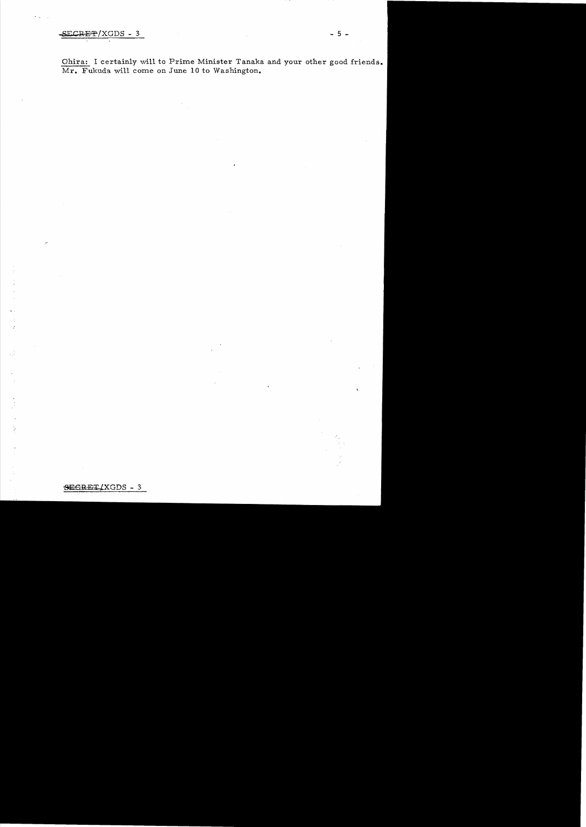Ohira: I certainly will to Prime Minister Tanaka and your other good friends. Mr. Fukuda will come on June 10 to Washington.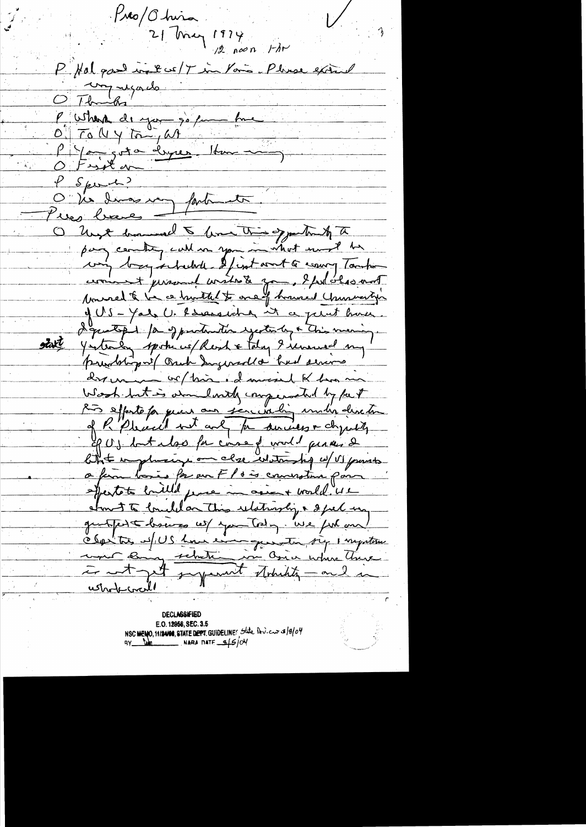$P$ 10/ $\sigma$ hira 21 May 1974 P. Hal good in the 17 in Your Pluse extend O Thomas P Where de you go fun OF TO UY ton, as P You got a deyres 14m P Sport? factoments O Via Imas may wes been O ligt have a line this oppertunity to pay country call on you in what word be comment personnel wished zon, I feel observed Nowaed to be a hunter to one of however Chancery of US - Yale U. Rareascha it a perut have. question for of production yester by a this meaning. otal Yesterly spoke us Reach & taly 9 immed my prendring of Orach Sugered a had serious drown or this edmund of has no Wesh but is admiliarily compensated by fact Ruis effecto fa qu'il aux son coulin und'a direction of P. Pleased with and for surveyor dynasty PUS but also for correspond permes & likt implicing on close whitmship w/ VI parts a fin los es prou Flois courative par expertate builled fence in accent world "42 about te brieflan This relationly & spel un symmet struckty - and in ustrobicrail

**DECLASSIFIED** E.O. 12958, SEC. 3.5 NSC MENO, 11/24/08, STATE DEPT. GUIDELINES State Dev. cur 3/8/04  $BY = Y_0$  MARA DATE  $-6/5/04$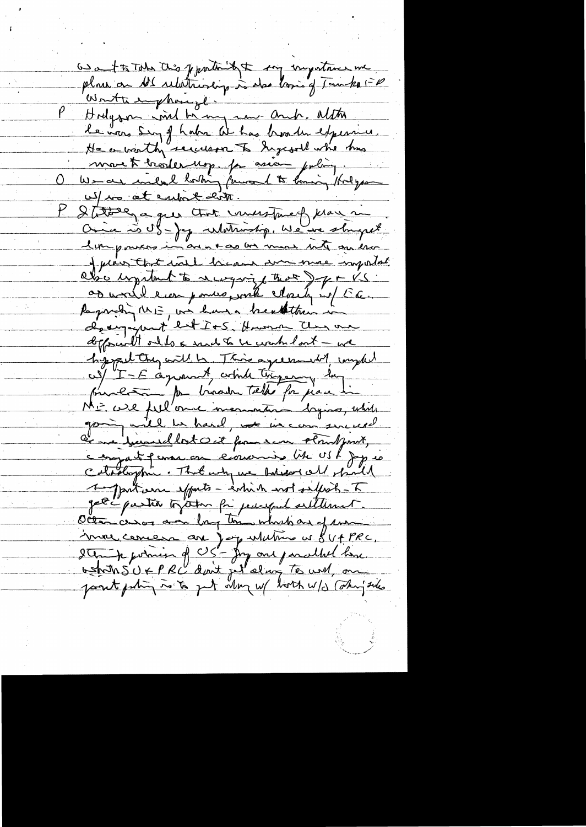as a to Take this pportation of the unportance me place on Al relationship is also lossing Tourke 1-0 Hodgoon ind him in and alter le vous Sing of haber de has broaden experience. He a worth securin to Ingeral who this more te breadernop. for asian policy. We are include bortony fourand to longing /holyson uf to at extent cit. Statuer a que tout investmed klar me Once is SS- Jag Whitniship, We are slought limpourers in an mas an more into on esso of plain that will because some more important abo upitat to recognize that I go VS or world even ponte ponte March in E.C. Requisiting ME, we have a breaththan in deeyard ent IoS. Human Clay our defferent only a mid to be wanted out - we hyppel they will be. This agreement of complet us/ "I-E agreement, wind tingering hus processor par binador telhe for pare lie going will be hard, not in commenced. and yoursellost out from som struct point, compat perme on concerna like USK joyer Cataloghie. That why we balison all should 1-Jan Luin exparts - entire wot selfest - T get i pastite to atom for perceput settlement. Octan cesos avec long tous which are of me imme concern are joy whitme us SV + PRC.<br>I The formion of US - Joy and parallel love.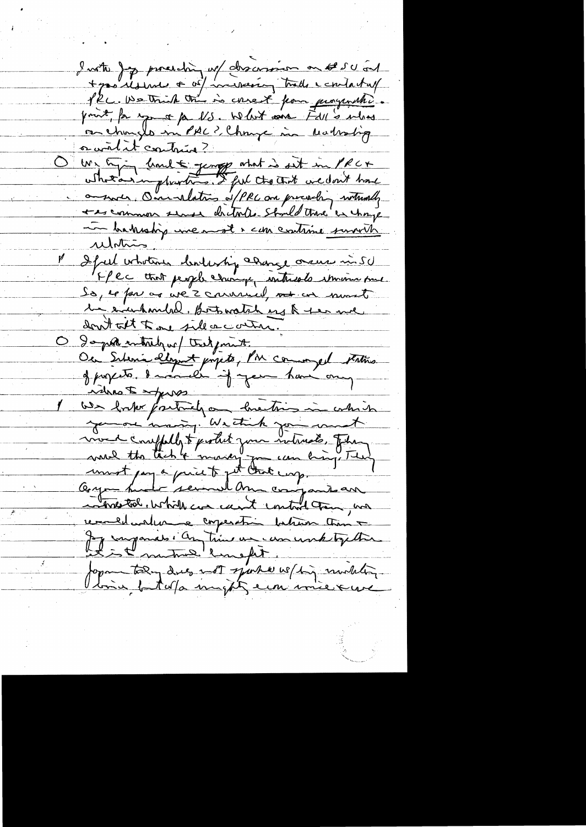Instru jepp procedèr, ne descension on se su cont + prodesine + of interesting trade contactuef print, for more par US. What since Fill's what orandit contraine? We happy limit younge what is sit in PRC+ on such, One relations of PRC one precision withouth the common sense dritate Stold the exchange me bakeship une most & can continue survits <u>relation</u> If feel wholears cloud whip adapte orace in 50 FPec that people change writereds strain me So, le fon as we's convincel, not an mont the evenhands. Both watch and & the me don't telt to one side a contra. O gopt intribution that print Ou Sitenie légist projets, PM comme et Fatins when I show We forthe factualy on linetimes in which voud comptably to protect your internate, Jetames avec de transformation de mondage de la filme hopestal, which can can't control trans, was remaindement comperation bation than a Je imparies : An time un concernt tylke formatoling dues not sport we high modeling tonic fatalfa might ein inievene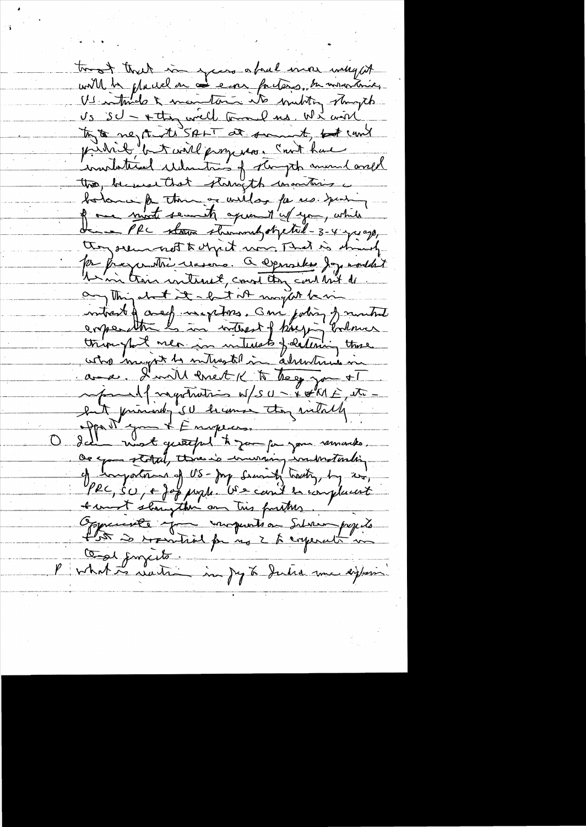twot that in yours afral more why it will be placed on as ever forters, be interioring Undmale & manteria at multing stampt Us SU - + they will toward us. We wise pridrik but will progresse court have the because that stampth unantures a bolome a thing or willas for us. your of one most semit aprend'es you, while they seem not to chpit was That is should Par fragmotive reasons. Que provides Joy montant anything about it a but at maybet being intrest of a experience and jobing of mutual triought mea in interests foldering these who mayor to miting till in alrentisme in avec. Init enet « to thege you +1 luit principal de le monde tous intalles Os you storal, threw is inurring industantin comportant of US-Joy Security tracting, by ever, PRC, SU, E Jop prophe US can't be complement t must show the am this further. Opperante you impunts on Salvan papils for a recordid for no 2 to corporate me Cod juncité P what is waiter in Jeg to Judia me eighter